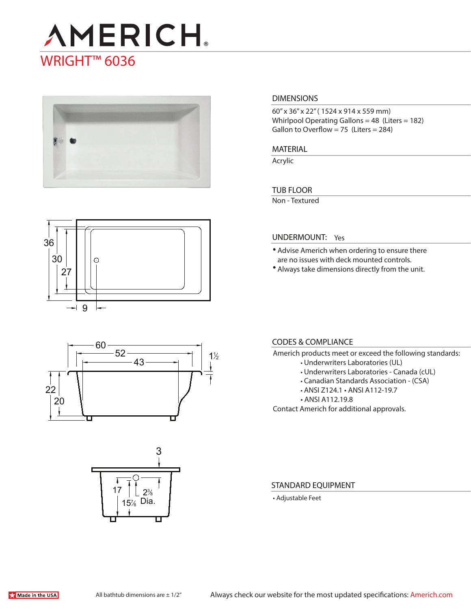# **AMERICH** WRIGHT<sup>™</sup> 6036



#### **DIMENSIONS**

60" x 36" x 22" ( 1524 x 914 x 559 mm) Whirlpool Operating Gallons = 48 (Liters = 182) Gallon to Overflow = 75 (Liters =  $284$ )

**MATERIAL** 

Acrylic

#### **TUB FLOOR**

Non - Textured



## 60 52 43 22 20  $1\frac{1}{2}$



#### **UNDERMOUNT:** Yes

- Advise Americh when ordering to ensure there are no issues with deck mounted controls.
- Always take dimensions directly from the unit.

### **CODES & COMPLIANCE**

- Americh products meet or exceed the following standards:
	- Underwriters Laboratories (UL)
	- Underwriters Laboratories Canada (cUL)
	- Canadian Standards Association (CSA)
	- ANSI Z124.1 ANSI A112-19.7
	- ANSI A112.19.8

Contact Americh for additional approvals.

#### **STANDARD EQUIPMENT**

• Adjustable Feet